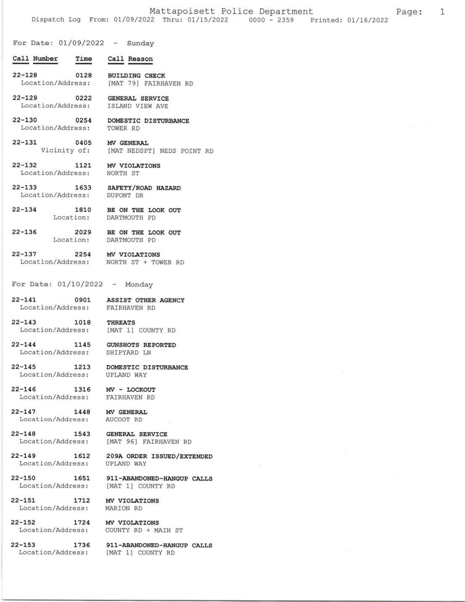1

For Date:  $01/09/2022 -$  Sunday

- Call Number Time Call Reason
- $22 128$ 0128 **BUILDING CHECK** [MAT 79] FAIRHAVEN RD Location/Address:
- $22 129$ 0222 **GENERAL SERVICE** Location/Address: ISLAND VIEW AVE

 $22 - 130$ 

 $22 - 133$ 

 $22 - 144$ 

 $22 - 145$ 

 $22 - 146$ 

 $22 - 147$ 

- 0254 DOMESTIC DISTURBANCE Location/Address: TOWER RD
- $22 131$ 0405 MV GENERAL Vicinity of: [MAT NEDSPT] NEDS POINT RD
- $22 132$ 1121 MV VIOLATIONS Location/Address: NORTH ST
	- 1633 SAFETY/ROAD HAZARD Location/Address: DUPONT DR
- $22 134$ BE ON THE LOOK OUT 1810 Location: DARTMOUTH PD
- 2029  $22 - 136$ BE ON THE LOOK OUT Location: DARTMOUTH PD
- $22 137$ 2254 MV VIOLATIONS Location/Address: NORTH ST + TOWER RD
- For Date:  $01/10/2022 -$  Monday
- $22 141$ 0901 ASSIST OTHER AGENCY Location/Address: FAIRHAVEN RD
- $22 143$ 1018 THREATS Location/Address: [MAT 1] COUNTY RD
	- 1145 **GUNSHOTS REPORTED** Location/Address: SHIPYARD LN
	- 1213 DOMESTIC DISTURBANCE Location/Address: UPLAND WAY
	- 1316 MV - LOCKOUT Location/Address: FAIRHAVEN RD
	- 1448 MV GENERAL Location/Address: AUCOOT RD
- $22 148$ 1543 **GENERAL SERVICE** Location/Address: [MAT 96] FAIRHAVEN RD
- $22 149$ 1612 209A ORDER ISSUED/EXTENDED Location/Address: **UPLAND WAY**
- $22 150$ 1651 Location/Address:
- $22 151$ 1712 Location/Address:
- MV VIOLATIONS MARION RD

[MAT 1] COUNTY RD

- $22 152$ 1724 Location/Address:
- $22 153$ 1736 Location/Address:
- MV VIOLATIONS COUNTY RD + MAIN ST
- 911-ABANDONED-HANGUP CALLS [MAT 1] COUNTY RD

911-ABANDONED-HANGUP CALLS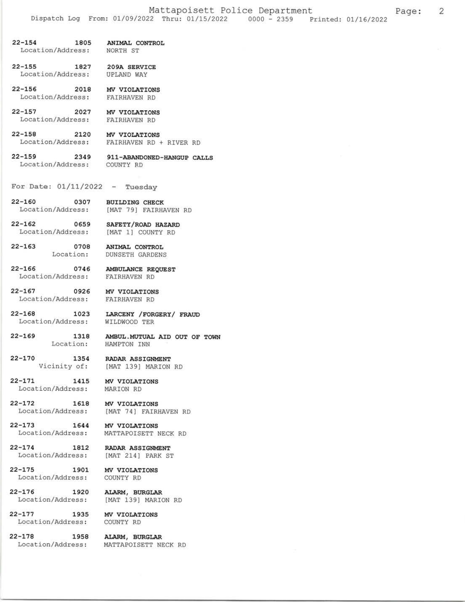22-154 1805 ANIMAL CONTROL Location/Address: NORTH ST 22-155 1827 209A SERVICE Location/Address: UPLAND WAY 22-156 2018 MV VIOLATIONS Location,/Address: EAfRHAVEN RD 22-157 2027 MV VIOLATIONS Location/Address: FAIRHAVEN RD 22-158 2120 MV VIOLATIONS Location/Address: FAIRHAVEN RD + RIVER RD 22-759 2349 g1I-ABANDONED-HANGUP CAILS Location/Address: COUNTy RD For Date:  $01/11/2022$  - Tuesday 22-160 0307 BUILDING CHECK Location/Address: [MAT 79] FAIRHAVEN RD 22-L62 0659 SAFETY/ROAD HAZARD Location/Address: [MAT 1] COUNTY RD 22-163 0708 ANIMAL CONTROL<br>Location: DUNSETH GARDENS DUNSETH GARDENS 22-166 0746 AMBULANCE REQUEST<br>Location/Address: FAIRHAVEN RD Location/Address: 22-167 0926 MV VIOLATIONS Location/Address: FAIRHAVEN RD 22-168 1023 LARCENY / FORGERY / FRAUD<br>Location/Address: WILDWOOD TER Location/Address: 22-169 1318 AMBUL.MUTUAL AID OUT OF TOWN<br>Location: HAMPTON INN HAMPTON INN 22-170 1354 RADAR ASSIGNMENT<br>Vicinity of: [MAT 139] MARION [MAT 139] MARION RD 22-171 1415 MV VIOLATIONS Location/Address: MARION RD 22-172 1618 MV VIOLATIONS<br>Location/Address: [MAT 74] FAIRI [MAT 74] FAIRHAVEN RD 22-173 1644 MV VIOLATIONS Location/Address: MATTAPOISETT NECK RD 22-174 1812 RADAR ASSIGNMENT Location/Address: [MAT 214] PARK ST 22-175 1901 MV VIOLATIONS Location/Address: COUNTY RD 22-176 1920 ALARM, BURGLAR Location/Address: [MAT 139] MARION RD 22-177 1935 MV VIOLATIONS<br>Location/Address: COUNTY RD Location/Address:

22-178 1958 ALARM, BURGLAR Location/Address: MATTAPOISETT NECK RD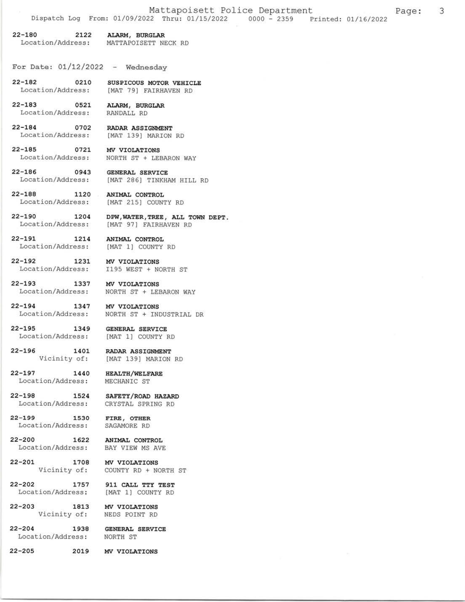## 22-180 2122 ALARM, BURGLAR

Location/Address: MATTAPOISETT NECK RD

For Date:  $01/12/2022 -$  Wednesday

22-L82 02LO susprcous MoToR vEHrcLE Location/Address: [MAT 79] FAIRHAVEN RD

22-183 0521 ALARM, BURGLAR Locatlon/Address: RANDALL RD

22-L84 O7O2 RADAR ASSIGNMENT Location,/Address: IMAT 139] MARION RD

22-185 0721 MV VIOLATIONS Location,/Address: NORTH ST + LEBARON WAY

Location/Address: 1195 WEST + NORTH ST

[MAT 139] MARION RD

22-186 0943 GENERAL SERVICE Location/Address: [MAT 286] TINKHAM HILL RD

22-188 1120 ANIMAL CONTROL Location/Address: [MAT 215] COUNTY RD

22-190 1204 DPW, WATER, TREE, ALL TOWN DEPT.<br>Location/Address: [MAT 97] FAIRHAVEN RD [MAT 97] FAIRHAVEN RD

22-191 1214 ANIMAL CONTROL<br>Location/Address: [MAT 1] COUNTY [MAT 1] COUNTY RD

22-192 1231 MV VIOLATIONS<br>Location/Address: I195 WEST + NO

22-193 1337 MV VIOLATIONS<br>Location/Address: NORTH ST + LEE NORTH ST + LEBARON WAY

22-194 1347 MV VIOLATIONS<br>Location/Address: NORTH ST + IND NORTH ST + INDUSTRIAL DR

22-195 1349 GENERAL SERVICE<br>Location/Address: [MAT 1] COUNTY RD Location/Address:

22-196 1401 RADAR ASSIGNMENT<br>Vicinity of: [MAT 139] MARION

22-L97 L44O HEATTH,/WELFARE Location/Address: MECHANIC ST

22-198 1524 SAFETY/ROAD HAZARD Location/Address: CRYSTAL SPRING RD

22-199 1530 FIRE, OTHER<br>Location/Address: SAGAMORE RD Location/Address:

22-200 1622 ANIMAL CONTROL<br>Location/Address: BAY VIEW MS AVE Location/Address:

22-201 1708 MV VIOLATIONS<br>Vicinity of: COUNTY RD + NO

22-202 1757 911 CALL TTY TEST Location/Address: [MAT 1] COUNTY RD

22-203 1813 MV VIOLATIONS Vicinity of: NEDS POINT RD

22-204 1938 GENERAL SERVICE Location/Address: NORTH ST

COUNTY RD + NORTH ST

22-205 2019 MV VIOLATIONS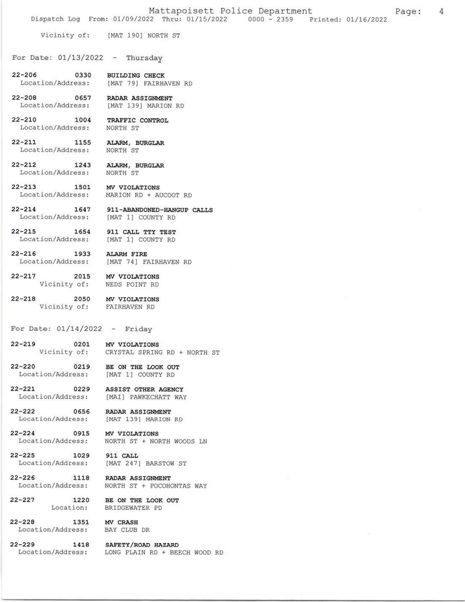$\overline{4}$ 

Vicinity of: [MAT 190] NORTH ST

For Date:  $01/13/2022 - Thursday$ 

- $22 206$ 0330 **BUILDING CHECK** Location/Address: [MAT 79] FAIRHAVEN RD
- $22 208$ 0657 RADAR ASSIGNMENT Location/Address: [MAT 139] MARION RD
	- 1004 TRAFFIC CONTROL NORTH ST Location/Address:
- $22 211$ 1155 ALARM, BURGLAR Location/Address: NORTH ST

 $22 - 210$ 

- $22 212$ 1243 ALARM, BURGLAR Location/Address: NORTH ST
- $22 213$ 1501 MV VIOLATIONS Location/Address: MARION RD + AUCOOT RD
- $22 214$ 1647 911-ABANDONED-HANGUP CALLS Location/Address: [MAT 1] COUNTY RD
- $22 215$ 1654 911 CALL TTY TEST Location/Address: [MAT 1] COUNTY RD
- $22 216$ 1933 **ALARM FIRE** Location/Address: [MAT 74] FAIRHAVEN RD
- 2015 MV VIOLATIONS  $22 - 217$ Vicinity of: NEDS POINT RD
- $22 218$ 2050 MV VIOLATIONS Vicinity of: **FAIRHAVEN RD**
- For Date:  $01/14/2022 -$  Friday
- MV VIOLATIONS  $22 - 219$ 0201 CRYSTAL SPRING RD + NORTH ST Vicinity of:
- $22 220$ 0219 BE ON THE LOOK OUT Location/Address: [MAT 1] COUNTY RD
- $22 221$ 0229 ASSIST OTHER AGENCY Location/Address: [MAI] PAWKECHATT WAY
- $22 222$ 0656 RADAR ASSIGNMENT Location/Address: [MAT 139] MARION RD
- $22 224$ 0915 MV VIOLATIONS Location/Address: NORTH ST + NORTH WOODS LN
	- 1029 911 CALL Location/Address: [MAT 247] BARSTOW ST
- 1118  $22 - 226$ RADAR ASSIGNMENT Location/Address: NORTH ST + POCOHONTAS WAY
- $22 227$ 1220 BE ON THE LOOK OUT Location: BRIDGEWATER PD
- $22 228$ 1351 MV CRASH Location/Address:

 $22 - 225$ 

- BAY CLUB DR
- $22 229$ Location/Address:
- 1418 SAFETY/ROAD HAZARD LONG PLAIN RD + BEECH WOOD RD